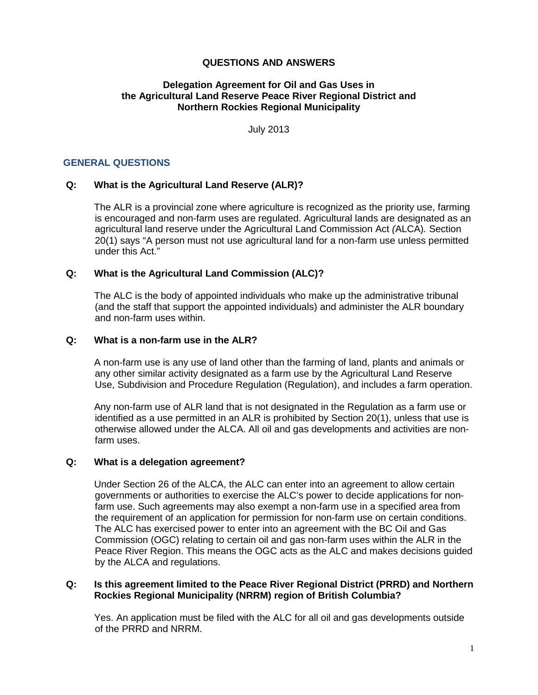## **QUESTIONS AND ANSWERS**

## **Delegation Agreement for Oil and Gas Uses in the Agricultural Land Reserve Peace River Regional District and Northern Rockies Regional Municipality**

July 2013

### **GENERAL QUESTIONS**

#### **Q: What is the Agricultural Land Reserve (ALR)?**

The ALR is a provincial zone where agriculture is recognized as the priority use, farming is encouraged and non-farm uses are regulated. Agricultural lands are designated as an agricultural land reserve under the Agricultural Land Commission Act *(*ALCA)*.* Section 20(1) says "A person must not use agricultural land for a non-farm use unless permitted under this Act."

## **Q: What is the Agricultural Land Commission (ALC)?**

The ALC is the body of appointed individuals who make up the administrative tribunal (and the staff that support the appointed individuals) and administer the ALR boundary and non-farm uses within.

#### **Q: What is a non-farm use in the ALR?**

A non-farm use is any use of land other than the farming of land, plants and animals or any other similar activity designated as a farm use by the Agricultural Land Reserve Use, Subdivision and Procedure Regulation (Regulation), and includes a farm operation.

Any non-farm use of ALR land that is not designated in the Regulation as a farm use or identified as a use permitted in an ALR is prohibited by Section 20(1), unless that use is otherwise allowed under the ALCA. All oil and gas developments and activities are nonfarm uses.

#### **Q: What is a delegation agreement?**

Under Section 26 of the ALCA, the ALC can enter into an agreement to allow certain governments or authorities to exercise the ALC's power to decide applications for nonfarm use. Such agreements may also exempt a non-farm use in a specified area from the requirement of an application for permission for non-farm use on certain conditions. The ALC has exercised power to enter into an agreement with the BC Oil and Gas Commission (OGC) relating to certain oil and gas non-farm uses within the ALR in the Peace River Region. This means the OGC acts as the ALC and makes decisions guided by the ALCA and regulations.

#### **Q: Is this agreement limited to the Peace River Regional District (PRRD) and Northern Rockies Regional Municipality (NRRM) region of British Columbia?**

Yes. An application must be filed with the ALC for all oil and gas developments outside of the PRRD and NRRM.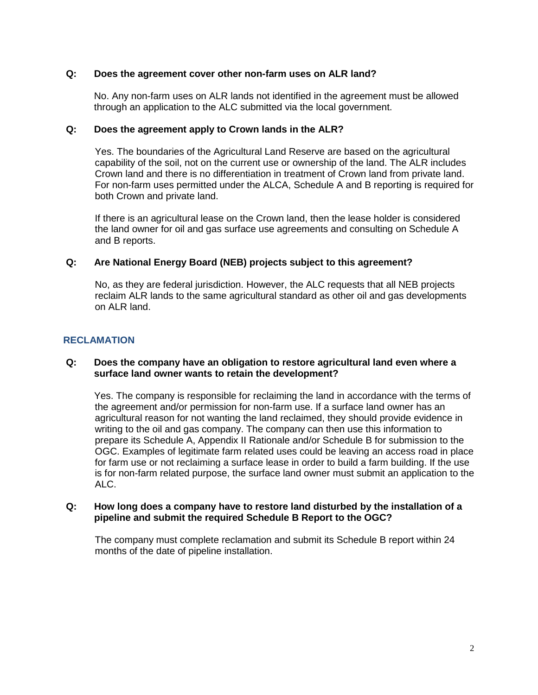## **Q: Does the agreement cover other non-farm uses on ALR land?**

No. Any non-farm uses on ALR lands not identified in the agreement must be allowed through an application to the ALC submitted via the local government.

### **Q: Does the agreement apply to Crown lands in the ALR?**

Yes. The boundaries of the Agricultural Land Reserve are based on the agricultural capability of the soil, not on the current use or ownership of the land. The ALR includes Crown land and there is no differentiation in treatment of Crown land from private land. For non-farm uses permitted under the ALCA, Schedule A and B reporting is required for both Crown and private land.

If there is an agricultural lease on the Crown land, then the lease holder is considered the land owner for oil and gas surface use agreements and consulting on Schedule A and B reports.

## **Q: Are National Energy Board (NEB) projects subject to this agreement?**

No, as they are federal jurisdiction. However, the ALC requests that all NEB projects reclaim ALR lands to the same agricultural standard as other oil and gas developments on ALR land.

## **RECLAMATION**

#### **Q: Does the company have an obligation to restore agricultural land even where a surface land owner wants to retain the development?**

Yes. The company is responsible for reclaiming the land in accordance with the terms of the agreement and/or permission for non-farm use. If a surface land owner has an agricultural reason for not wanting the land reclaimed, they should provide evidence in writing to the oil and gas company. The company can then use this information to prepare its Schedule A, Appendix II Rationale and/or Schedule B for submission to the OGC. Examples of legitimate farm related uses could be leaving an access road in place for farm use or not reclaiming a surface lease in order to build a farm building. If the use is for non-farm related purpose, the surface land owner must submit an application to the ALC.

#### **Q: How long does a company have to restore land disturbed by the installation of a pipeline and submit the required Schedule B Report to the OGC?**

The company must complete reclamation and submit its Schedule B report within 24 months of the date of pipeline installation.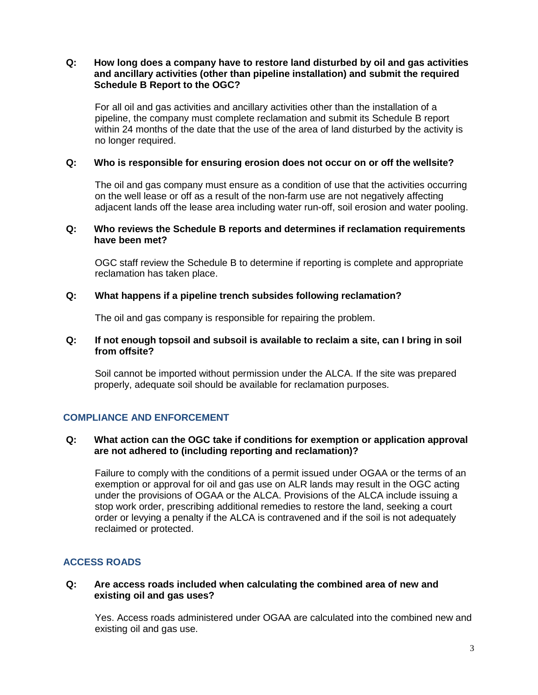## **Q: How long does a company have to restore land disturbed by oil and gas activities and ancillary activities (other than pipeline installation) and submit the required Schedule B Report to the OGC?**

For all oil and gas activities and ancillary activities other than the installation of a pipeline, the company must complete reclamation and submit its Schedule B report within 24 months of the date that the use of the area of land disturbed by the activity is no longer required.

## **Q: Who is responsible for ensuring erosion does not occur on or off the wellsite?**

The oil and gas company must ensure as a condition of use that the activities occurring on the well lease or off as a result of the non-farm use are not negatively affecting adjacent lands off the lease area including water run-off, soil erosion and water pooling.

### **Q: Who reviews the Schedule B reports and determines if reclamation requirements have been met?**

OGC staff review the Schedule B to determine if reporting is complete and appropriate reclamation has taken place.

## **Q: What happens if a pipeline trench subsides following reclamation?**

The oil and gas company is responsible for repairing the problem.

## **Q: If not enough topsoil and subsoil is available to reclaim a site, can I bring in soil from offsite?**

Soil cannot be imported without permission under the ALCA. If the site was prepared properly, adequate soil should be available for reclamation purposes.

## **COMPLIANCE AND ENFORCEMENT**

## **Q: What action can the OGC take if conditions for exemption or application approval are not adhered to (including reporting and reclamation)?**

Failure to comply with the conditions of a permit issued under OGAA or the terms of an exemption or approval for oil and gas use on ALR lands may result in the OGC acting under the provisions of OGAA or the ALCA. Provisions of the ALCA include issuing a stop work order, prescribing additional remedies to restore the land, seeking a court order or levying a penalty if the ALCA is contravened and if the soil is not adequately reclaimed or protected.

# **ACCESS ROADS**

## **Q: Are access roads included when calculating the combined area of new and existing oil and gas uses?**

Yes. Access roads administered under OGAA are calculated into the combined new and existing oil and gas use.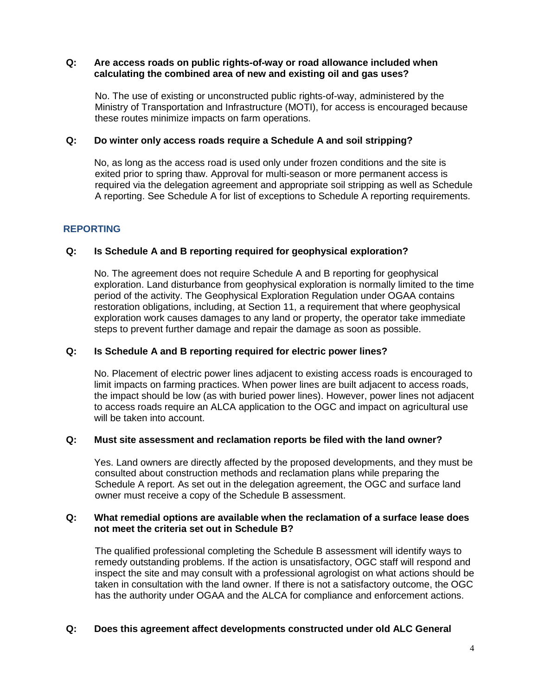### **Q: Are access roads on public rights-of-way or road allowance included when calculating the combined area of new and existing oil and gas uses?**

No. The use of existing or unconstructed public rights-of-way, administered by the Ministry of Transportation and Infrastructure (MOTI), for access is encouraged because these routes minimize impacts on farm operations.

## **Q: Do winter only access roads require a Schedule A and soil stripping?**

No, as long as the access road is used only under frozen conditions and the site is exited prior to spring thaw. Approval for multi-season or more permanent access is required via the delegation agreement and appropriate soil stripping as well as Schedule A reporting. See Schedule A for list of exceptions to Schedule A reporting requirements.

## **REPORTING**

## **Q: Is Schedule A and B reporting required for geophysical exploration?**

No. The agreement does not require Schedule A and B reporting for geophysical exploration. Land disturbance from geophysical exploration is normally limited to the time period of the activity. The Geophysical Exploration Regulation under OGAA contains restoration obligations, including, at Section 11, a requirement that where geophysical exploration work causes damages to any land or property, the operator take immediate steps to prevent further damage and repair the damage as soon as possible.

#### **Q: Is Schedule A and B reporting required for electric power lines?**

No. Placement of electric power lines adjacent to existing access roads is encouraged to limit impacts on farming practices. When power lines are built adjacent to access roads, the impact should be low (as with buried power lines). However, power lines not adjacent to access roads require an ALCA application to the OGC and impact on agricultural use will be taken into account.

## **Q: Must site assessment and reclamation reports be filed with the land owner?**

Yes. Land owners are directly affected by the proposed developments, and they must be consulted about construction methods and reclamation plans while preparing the Schedule A report. As set out in the delegation agreement, the OGC and surface land owner must receive a copy of the Schedule B assessment.

#### **Q: What remedial options are available when the reclamation of a surface lease does not meet the criteria set out in Schedule B?**

The qualified professional completing the Schedule B assessment will identify ways to remedy outstanding problems. If the action is unsatisfactory, OGC staff will respond and inspect the site and may consult with a professional agrologist on what actions should be taken in consultation with the land owner. If there is not a satisfactory outcome, the OGC has the authority under OGAA and the ALCA for compliance and enforcement actions.

## **Q: Does this agreement affect developments constructed under old ALC General**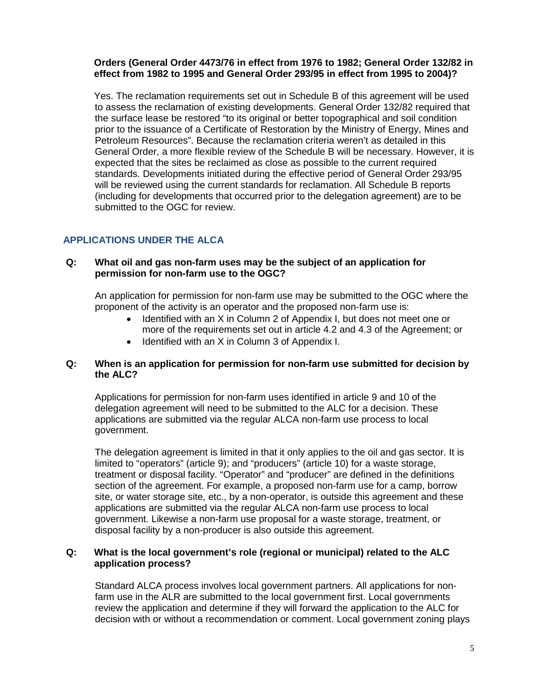## **Orders (General Order 4473/76 in effect from 1976 to 1982; General Order 132/82 in effect from 1982 to 1995 and General Order 293/95 in effect from 1995 to 2004)?**

Yes. The reclamation requirements set out in Schedule B of this agreement will be used to assess the reclamation of existing developments. General Order 132/82 required that the surface lease be restored "to its original or better topographical and soil condition prior to the issuance of a Certificate of Restoration by the Ministry of Energy, Mines and Petroleum Resources". Because the reclamation criteria weren't as detailed in this General Order, a more flexible review of the Schedule B will be necessary. However, it is expected that the sites be reclaimed as close as possible to the current required standards. Developments initiated during the effective period of General Order 293/95 will be reviewed using the current standards for reclamation. All Schedule B reports (including for developments that occurred prior to the delegation agreement) are to be submitted to the OGC for review.

# **APPLICATIONS UNDER THE ALCA**

## **Q: What oil and gas non-farm uses may be the subject of an application for permission for non-farm use to the OGC?**

An application for permission for non-farm use may be submitted to the OGC where the proponent of the activity is an operator and the proposed non-farm use is:

- Identified with an X in Column 2 of Appendix I, but does not meet one or more of the requirements set out in article 4.2 and 4.3 of the Agreement; or
- Identified with an X in Column 3 of Appendix I.

## **Q: When is an application for permission for non-farm use submitted for decision by the ALC?**

Applications for permission for non-farm uses identified in article 9 and 10 of the delegation agreement will need to be submitted to the ALC for a decision. These applications are submitted via the regular ALCA non-farm use process to local government.

The delegation agreement is limited in that it only applies to the oil and gas sector. It is limited to "operators" (article 9); and "producers" (article 10) for a waste storage, treatment or disposal facility. "Operator" and "producer" are defined in the definitions section of the agreement. For example, a proposed non-farm use for a camp, borrow site, or water storage site, etc., by a non-operator, is outside this agreement and these applications are submitted via the regular ALCA non-farm use process to local government. Likewise a non-farm use proposal for a waste storage, treatment, or disposal facility by a non-producer is also outside this agreement.

## **Q: What is the local government's role (regional or municipal) related to the ALC application process?**

Standard ALCA process involves local government partners. All applications for nonfarm use in the ALR are submitted to the local government first. Local governments review the application and determine if they will forward the application to the ALC for decision with or without a recommendation or comment. Local government zoning plays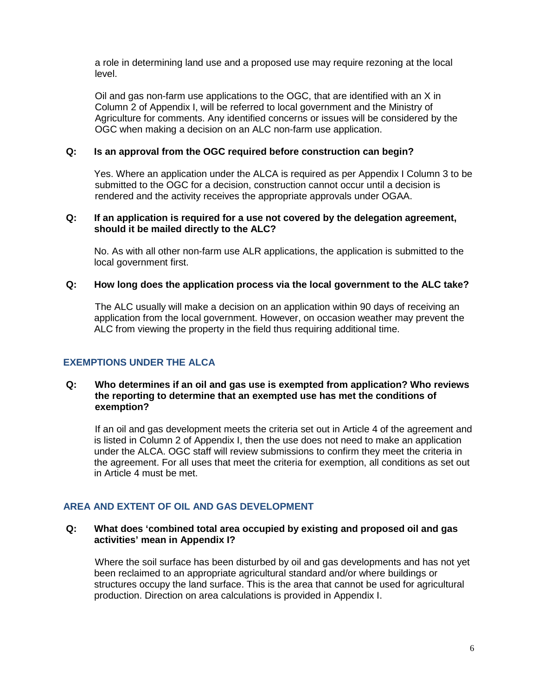a role in determining land use and a proposed use may require rezoning at the local level.

Oil and gas non-farm use applications to the OGC, that are identified with an X in Column 2 of Appendix I, will be referred to local government and the Ministry of Agriculture for comments. Any identified concerns or issues will be considered by the OGC when making a decision on an ALC non-farm use application.

### **Q: Is an approval from the OGC required before construction can begin?**

Yes. Where an application under the ALCA is required as per Appendix I Column 3 to be submitted to the OGC for a decision, construction cannot occur until a decision is rendered and the activity receives the appropriate approvals under OGAA.

## **Q: If an application is required for a use not covered by the delegation agreement, should it be mailed directly to the ALC?**

No. As with all other non-farm use ALR applications, the application is submitted to the local government first.

## **Q: How long does the application process via the local government to the ALC take?**

The ALC usually will make a decision on an application within 90 days of receiving an application from the local government. However, on occasion weather may prevent the ALC from viewing the property in the field thus requiring additional time.

## **EXEMPTIONS UNDER THE ALCA**

#### **Q: Who determines if an oil and gas use is exempted from application? Who reviews the reporting to determine that an exempted use has met the conditions of exemption?**

If an oil and gas development meets the criteria set out in Article 4 of the agreement and is listed in Column 2 of Appendix I, then the use does not need to make an application under the ALCA. OGC staff will review submissions to confirm they meet the criteria in the agreement. For all uses that meet the criteria for exemption, all conditions as set out in Article 4 must be met.

## **AREA AND EXTENT OF OIL AND GAS DEVELOPMENT**

## **Q: What does 'combined total area occupied by existing and proposed oil and gas activities' mean in Appendix I?**

Where the soil surface has been disturbed by oil and gas developments and has not yet been reclaimed to an appropriate agricultural standard and/or where buildings or structures occupy the land surface. This is the area that cannot be used for agricultural production. Direction on area calculations is provided in Appendix I.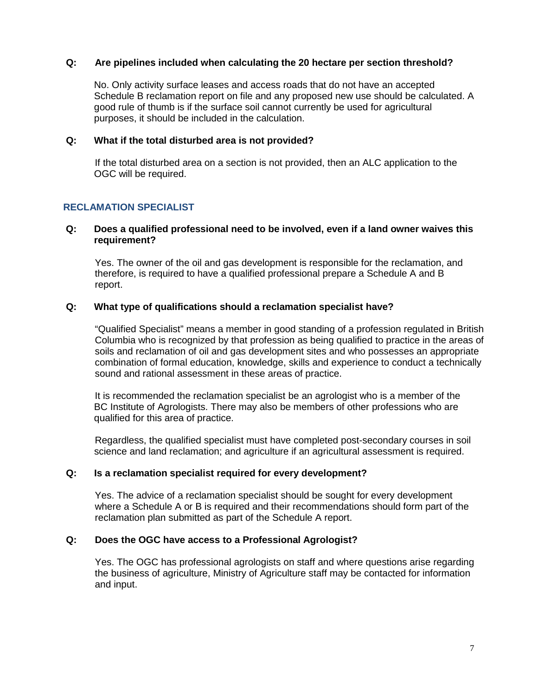### **Q: Are pipelines included when calculating the 20 hectare per section threshold?**

No. Only activity surface leases and access roads that do not have an accepted Schedule B reclamation report on file and any proposed new use should be calculated. A good rule of thumb is if the surface soil cannot currently be used for agricultural purposes, it should be included in the calculation.

### **Q: What if the total disturbed area is not provided?**

If the total disturbed area on a section is not provided, then an ALC application to the OGC will be required.

## **RECLAMATION SPECIALIST**

### **Q: Does a qualified professional need to be involved, even if a land owner waives this requirement?**

Yes. The owner of the oil and gas development is responsible for the reclamation, and therefore, is required to have a qualified professional prepare a Schedule A and B report.

## **Q: What type of qualifications should a reclamation specialist have?**

"Qualified Specialist" means a member in good standing of a profession regulated in British Columbia who is recognized by that profession as being qualified to practice in the areas of soils and reclamation of oil and gas development sites and who possesses an appropriate combination of formal education, knowledge, skills and experience to conduct a technically sound and rational assessment in these areas of practice.

It is recommended the reclamation specialist be an agrologist who is a member of the BC Institute of Agrologists. There may also be members of other professions who are qualified for this area of practice.

Regardless, the qualified specialist must have completed post-secondary courses in soil science and land reclamation; and agriculture if an agricultural assessment is required.

#### **Q: Is a reclamation specialist required for every development?**

Yes. The advice of a reclamation specialist should be sought for every development where a Schedule A or B is required and their recommendations should form part of the reclamation plan submitted as part of the Schedule A report.

#### **Q: Does the OGC have access to a Professional Agrologist?**

Yes. The OGC has professional agrologists on staff and where questions arise regarding the business of agriculture, Ministry of Agriculture staff may be contacted for information and input.